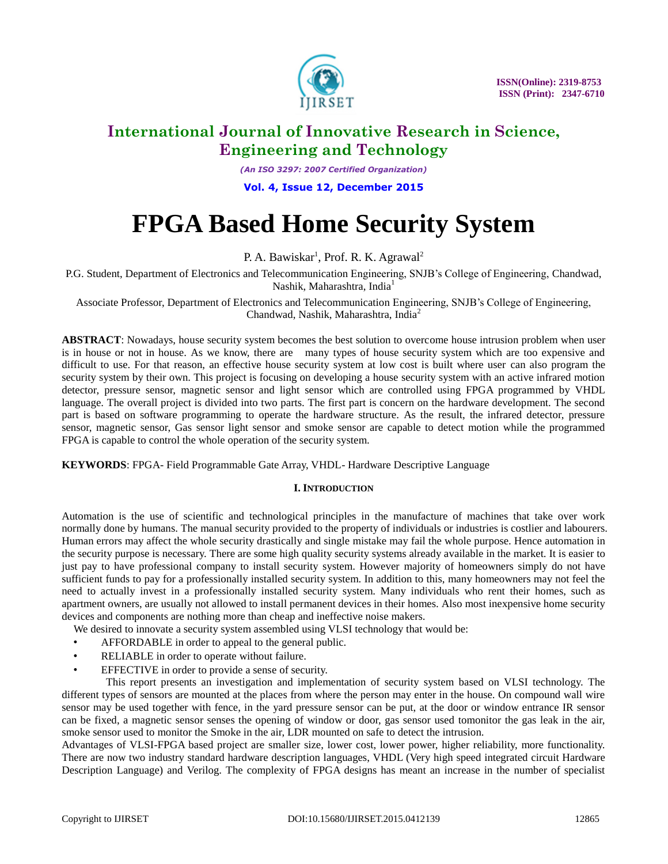

*(An ISO 3297: 2007 Certified Organization)*

**Vol. 4, Issue 12, December 2015**

# **FPGA Based Home Security System**

P. A. Bawiskar<sup>1</sup>, Prof. R. K. Agrawal<sup>2</sup>

P.G. Student, Department of Electronics and Telecommunication Engineering, SNJB's College of Engineering, Chandwad, Nashik, Maharashtra, India<sup>1</sup>

Associate Professor, Department of Electronics and Telecommunication Engineering, SNJB's College of Engineering, Chandwad, Nashik, Maharashtra, India<sup>2</sup>

**ABSTRACT**: Nowadays, house security system becomes the best solution to overcome house intrusion problem when user is in house or not in house. As we know, there are many types of house security system which are too expensive and difficult to use. For that reason, an effective house security system at low cost is built where user can also program the security system by their own. This project is focusing on developing a house security system with an active infrared motion detector, pressure sensor, magnetic sensor and light sensor which are controlled using FPGA programmed by VHDL language. The overall project is divided into two parts. The first part is concern on the hardware development. The second part is based on software programming to operate the hardware structure. As the result, the infrared detector, pressure sensor, magnetic sensor, Gas sensor light sensor and smoke sensor are capable to detect motion while the programmed FPGA is capable to control the whole operation of the security system.

**KEYWORDS**: FPGA- Field Programmable Gate Array, VHDL- Hardware Descriptive Language

### **I. INTRODUCTION**

Automation is the use of scientific and technological principles in the manufacture of machines that take over work normally done by humans. The manual security provided to the property of individuals or industries is costlier and labourers. Human errors may affect the whole security drastically and single mistake may fail the whole purpose. Hence automation in the security purpose is necessary. There are some high quality security systems already available in the market. It is easier to just pay to have professional company to install security system. However majority of homeowners simply do not have sufficient funds to pay for a professionally installed security system. In addition to this, many homeowners may not feel the need to actually invest in a professionally installed security system. Many individuals who rent their homes, such as apartment owners, are usually not allowed to install permanent devices in their homes. Also most inexpensive home security devices and components are nothing more than cheap and ineffective noise makers.

We desired to innovate a security system assembled using VLSI technology that would be:

- AFFORDABLE in order to appeal to the general public.
- RELIABLE in order to operate without failure.
- EFFECTIVE in order to provide a sense of security.

 This report presents an investigation and implementation of security system based on VLSI technology. The different types of sensors are mounted at the places from where the person may enter in the house. On compound wall wire sensor may be used together with fence, in the yard pressure sensor can be put, at the door or window entrance IR sensor can be fixed, a magnetic sensor senses the opening of window or door, gas sensor used tomonitor the gas leak in the air, smoke sensor used to monitor the Smoke in the air, LDR mounted on safe to detect the intrusion.

Advantages of VLSI-FPGA based project are smaller size, lower cost, lower power, higher reliability, more functionality. There are now two industry standard hardware description languages, VHDL (Very high speed integrated circuit Hardware Description Language) and Verilog. The complexity of FPGA designs has meant an increase in the number of specialist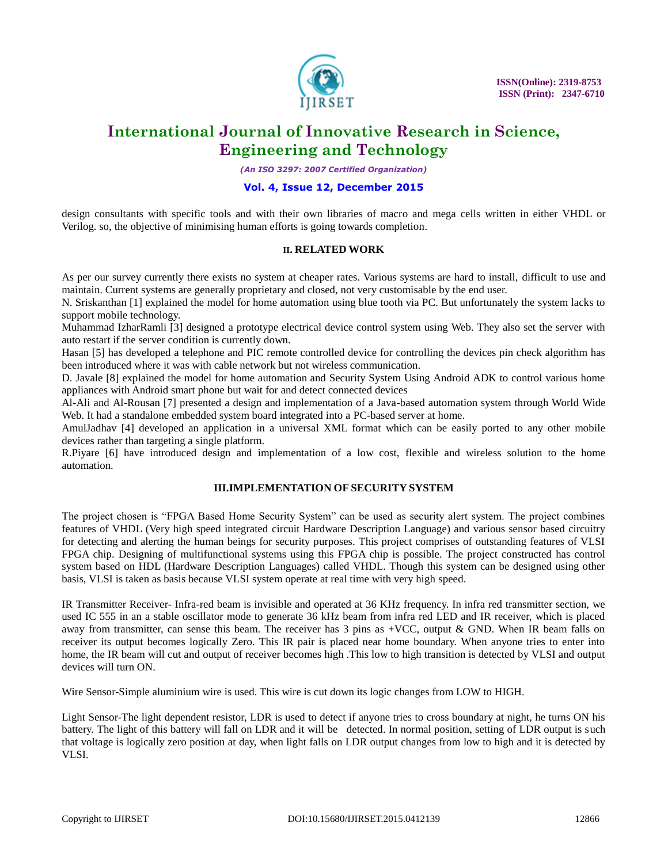

*(An ISO 3297: 2007 Certified Organization)*

## **Vol. 4, Issue 12, December 2015**

design consultants with specific tools and with their own libraries of macro and mega cells written in either VHDL or Verilog. so, the objective of minimising human efforts is going towards completion.

### **II. RELATED WORK**

As per our survey currently there exists no system at cheaper rates. Various systems are hard to install, difficult to use and maintain. Current systems are generally proprietary and closed, not very customisable by the end user.

N. Sriskanthan [1] explained the model for home automation using blue tooth via PC. But unfortunately the system lacks to support mobile technology.

Muhammad IzharRamli [3] designed a prototype electrical device control system using Web. They also set the server with auto restart if the server condition is currently down.

Hasan [5] has developed a telephone and PIC remote controlled device for controlling the devices pin check algorithm has been introduced where it was with cable network but not wireless communication.

D. Javale [8] explained the model for home automation and Security System Using Android ADK to control various home appliances with Android smart phone but wait for and detect connected devices

Al-Ali and Al-Rousan [7] presented a design and implementation of a Java-based automation system through World Wide Web. It had a standalone embedded system board integrated into a PC-based server at home.

AmulJadhav [4] developed an application in a universal XML format which can be easily ported to any other mobile devices rather than targeting a single platform.

R.Piyare [6] have introduced design and implementation of a low cost, flexible and wireless solution to the home automation.

### **III.IMPLEMENTATION OF SECURITY SYSTEM**

The project chosen is "FPGA Based Home Security System" can be used as security alert system. The project combines features of VHDL (Very high speed integrated circuit Hardware Description Language) and various sensor based circuitry for detecting and alerting the human beings for security purposes. This project comprises of outstanding features of VLSI FPGA chip. Designing of multifunctional systems using this FPGA chip is possible. The project constructed has control system based on HDL (Hardware Description Languages) called VHDL. Though this system can be designed using other basis, VLSI is taken as basis because VLSI system operate at real time with very high speed.

IR Transmitter Receiver- Infra-red beam is invisible and operated at 36 KHz frequency. In infra red transmitter section, we used IC 555 in an a stable oscillator mode to generate 36 kHz beam from infra red LED and IR receiver, which is placed away from transmitter, can sense this beam. The receiver has 3 pins as +VCC, output & GND. When IR beam falls on receiver its output becomes logically Zero. This IR pair is placed near home boundary. When anyone tries to enter into home, the IR beam will cut and output of receiver becomes high .This low to high transition is detected by VLSI and output devices will turn ON.

Wire Sensor-Simple aluminium wire is used. This wire is cut down its logic changes from LOW to HIGH.

Light Sensor-The light dependent resistor, LDR is used to detect if anyone tries to cross boundary at night, he turns ON his battery. The light of this battery will fall on LDR and it will be detected. In normal position, setting of LDR output is such that voltage is logically zero position at day, when light falls on LDR output changes from low to high and it is detected by VLSI.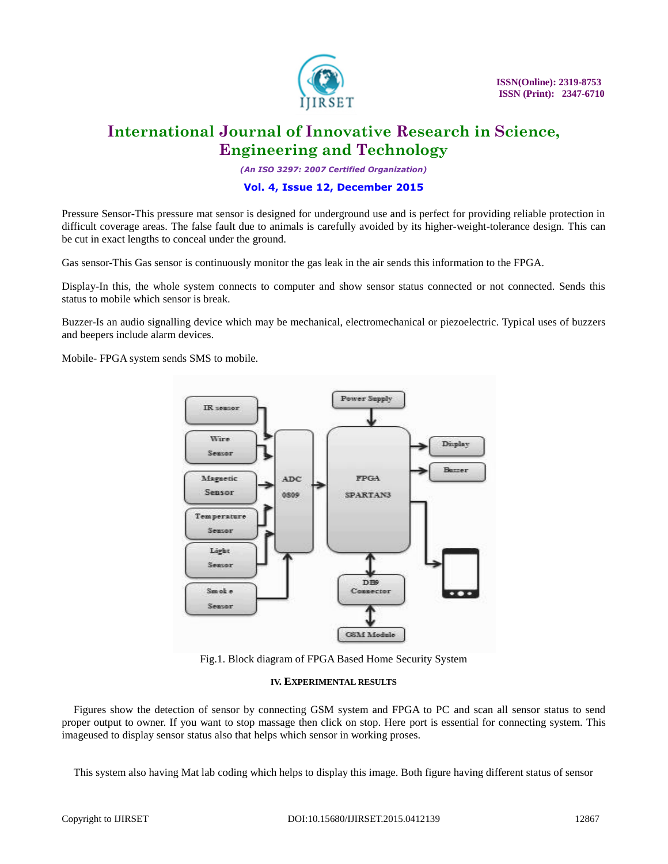

*(An ISO 3297: 2007 Certified Organization)*

### **Vol. 4, Issue 12, December 2015**

Pressure Sensor-This pressure mat sensor is designed for underground use and is perfect for providing reliable protection in difficult coverage areas. The false fault due to animals is carefully avoided by its higher-weight-tolerance design. This can be cut in exact lengths to conceal under the ground.

Gas sensor-This Gas sensor is continuously monitor the gas leak in the air sends this information to the FPGA.

Display-In this, the whole system connects to computer and show sensor status connected or not connected. Sends this status to mobile which sensor is break.

Buzzer-Is an audio signalling device which may be mechanical, electromechanical or piezoelectric. Typical uses of buzzers and beepers include alarm devices.

Mobile- FPGA system sends SMS to mobile.



Fig.1. Block diagram of FPGA Based Home Security System

#### **IV. EXPERIMENTAL RESULTS**

Figures show the detection of sensor by connecting GSM system and FPGA to PC and scan all sensor status to send proper output to owner. If you want to stop massage then click on stop. Here port is essential for connecting system. This imageused to display sensor status also that helps which sensor in working proses.

This system also having Mat lab coding which helps to display this image. Both figure having different status of sensor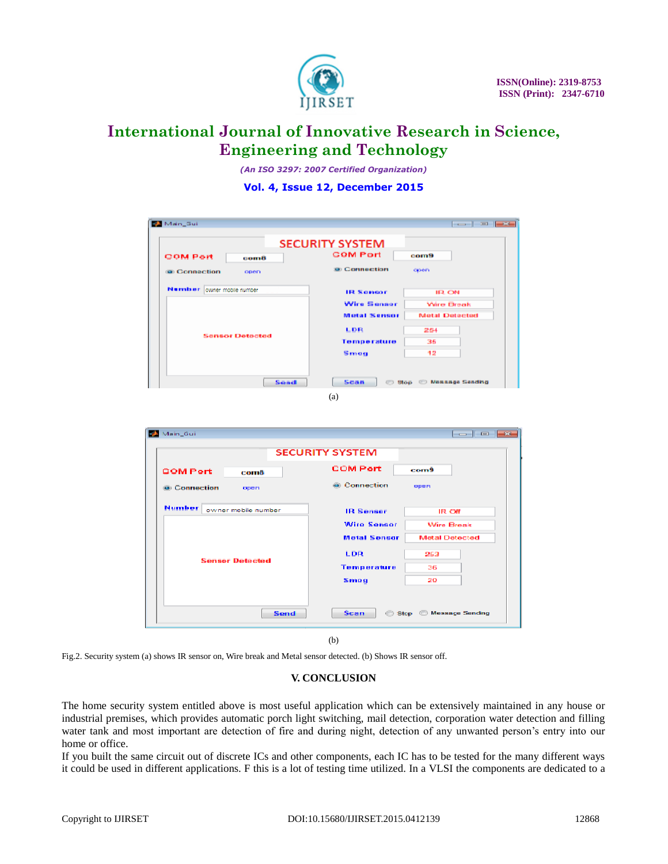

*(An ISO 3297: 2007 Certified Organization)*

# **Vol. 4, Issue 12, December 2015**

| Main Sui                              |                                              |
|---------------------------------------|----------------------------------------------|
|                                       | <b>SECURITY SYSTEM</b>                       |
| <b>COM Port</b><br>comô               | <b>COM Port</b><br>com9                      |
| <b>Connection</b><br>open             | <b>a</b> Connection<br>open                  |
| Nurvilser owner mobile number         | <b>IR Sensor</b><br><b>IR ON</b>             |
| <b>Sensor Detected</b>                | <b>Wire Sensor</b><br><b>Wire Break</b>      |
|                                       | <b>Motal Sensor</b><br><b>Metal Detected</b> |
|                                       | LDR<br>254                                   |
|                                       | Temperature<br>36                            |
|                                       | 12<br>Smag                                   |
| Send                                  | Scan<br><b>Blop Massage Sending</b>          |
|                                       | (a)                                          |
| Main_Gui                              | <b>SECURITY SYSTEM</b>                       |
| com8                                  | <b>COM Part</b><br>com9                      |
| open                                  | <b>Connection</b><br>open                    |
| Number<br>owner mobile number         | <b>IR Sensor</b><br><b>IR Off</b>            |
|                                       | <b>Wire Sensor</b><br>Wire Break             |
|                                       | <b>Metal Sensor</b><br><b>Metal Detected</b> |
|                                       |                                              |
| <b>Sensor Detected</b>                | LDR<br>253                                   |
| <b>COMPort</b><br><b>B</b> Connection | Temperature<br>36                            |
|                                       | 20<br>Smog                                   |
| Send                                  | <u>ale e</u><br>Scan<br>Stop Measure Sending |

(b)

Fig.2. Security system (a) shows IR sensor on, Wire break and Metal sensor detected. (b) Shows IR sensor off.

# **V. CONCLUSION**

The home security system entitled above is most useful application which can be extensively maintained in any house or industrial premises, which provides automatic porch light switching, mail detection, corporation water detection and filling water tank and most important are detection of fire and during night, detection of any unwanted person's entry into our home or office.

If you built the same circuit out of discrete ICs and other components, each IC has to be tested for the many different ways it could be used in different applications. F this is a lot of testing time utilized. In a VLSI the components are dedicated to a